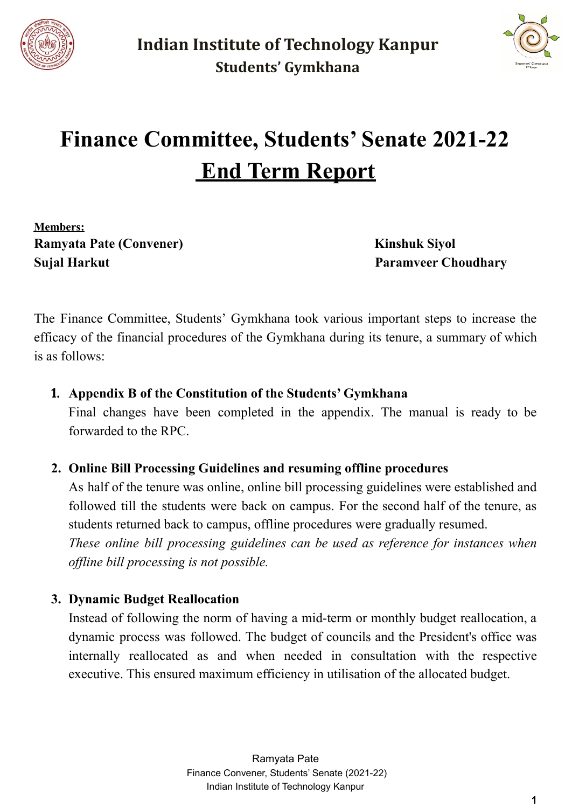



# **Finance Committee, Students' Senate 2021-22 End Term Report**

**Members: Ramyata Pate (Convener) Kinshuk Siyol Sujal Harkut Paramveer Choudhary**

The Finance Committee, Students' Gymkhana took various important steps to increase the efficacy of the financial procedures of the Gymkhana during its tenure, a summary of which is as follows:

#### **1. Appendix B of the Constitution of the Students' Gymkhana**

Final changes have been completed in the appendix. The manual is ready to be forwarded to the RPC.

#### **2. Online Bill Processing Guidelines and resuming offline procedures**

As half of the tenure was online, online bill processing guidelines were established and followed till the students were back on campus. For the second half of the tenure, as students returned back to campus, offline procedures were gradually resumed. *These online bill processing guidelines can be used as reference for instances when of line bill processing is not possible.*

#### **3. Dynamic Budget Reallocation**

Instead of following the norm of having a mid-term or monthly budget reallocation, a dynamic process was followed. The budget of councils and the President's office was internally reallocated as and when needed in consultation with the respective executive. This ensured maximum efficiency in utilisation of the allocated budget.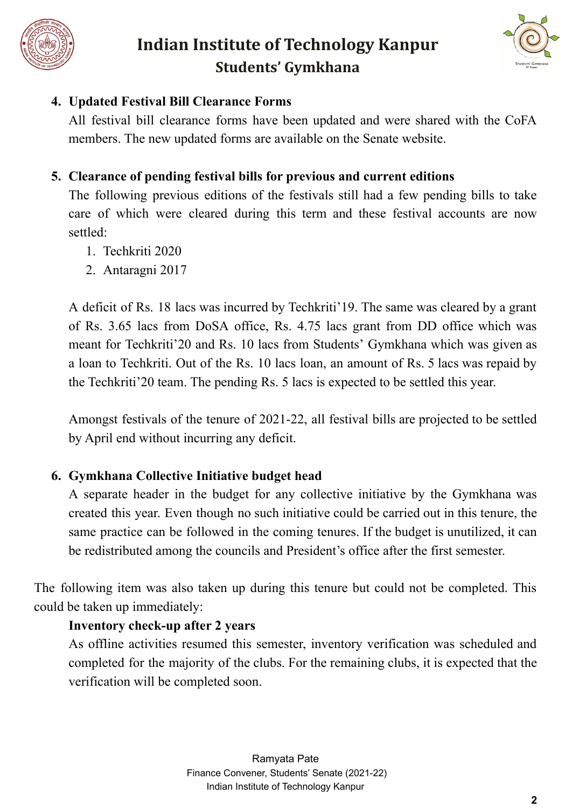



### **4. Updated Festival Bill Clearance Forms**

All festival bill clearance forms have been updated and were shared with the CoFA members. The new updated forms are available on the Senate website.

## **5. Clearance of pending festival bills for previous and current editions**

The following previous editions of the festivals still had a few pending bills to take care of which were cleared during this term and these festival accounts are now settled:

- 1. Techkriti 2020
- 2. Antaragni 2017

A deficit of Rs. 18 lacs was incurred by Techkriti'19. The same was cleared by a grant of Rs. 3.65 lacs from DoSA office, Rs. 4.75 lacs grant from DD office which was meant for Techkriti'20 and Rs. 10 lacs from Students' Gymkhana which was given as a loan to Techkriti. Out of the Rs. 10 lacs loan, an amount of Rs. 5 lacs was repaid by the Techkriti'20 team. The pending Rs. 5 lacs is expected to be settled this year.

Amongst festivals of the tenure of 2021-22, all festival bills are projected to be settled by April end without incurring any deficit.

## **6. Gymkhana Collective Initiative budget head**

A separate header in the budget for any collective initiative by the Gymkhana was created this year. Even though no such initiative could be carried out in this tenure, the same practice can be followed in the coming tenures. If the budget is unutilized, it can be redistributed among the councils and President's office after the first semester.

The following item was also taken up during this tenure but could not be completed. This could be taken up immediately:

## **Inventory check-up after 2 years**

As offline activities resumed this semester, inventory verification was scheduled and completed for the majority of the clubs. For the remaining clubs, it is expected that the verification will be completed soon.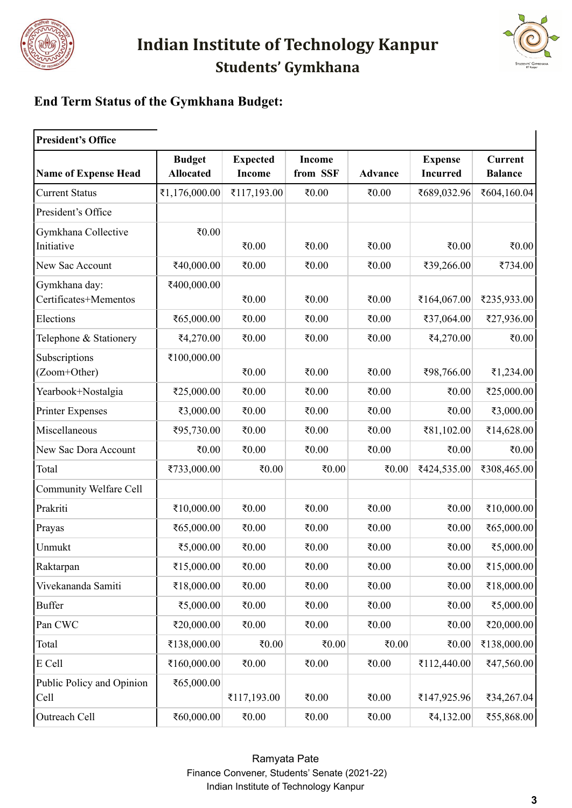



## **End Term Status of the Gymkhana Budget:**

| <b>President's Office</b>              |                                   |                                  |                           |                |                                   |                                  |  |  |
|----------------------------------------|-----------------------------------|----------------------------------|---------------------------|----------------|-----------------------------------|----------------------------------|--|--|
| <b>Name of Expense Head</b>            | <b>Budget</b><br><b>Allocated</b> | <b>Expected</b><br><b>Income</b> | <b>Income</b><br>from SSF | <b>Advance</b> | <b>Expense</b><br><b>Incurred</b> | <b>Current</b><br><b>Balance</b> |  |  |
| <b>Current Status</b>                  | ₹1,176,000.00                     | ₹117,193.00                      | ₹0.00                     | ₹ $0.00$       | ₹689,032.96                       | ₹604,160.04                      |  |  |
| President's Office                     |                                   |                                  |                           |                |                                   |                                  |  |  |
| Gymkhana Collective<br>Initiative      | ₹0.00                             | ₹0.00                            | ₹0.00                     | ₹ $0.00$       | ₹0.00                             | ₹ $0.00$                         |  |  |
| New Sac Account                        | ₹40,000.00                        | ₹ $0.00$                         | ₹0.00                     | ₹0.00          | ₹39,266.00                        | ₹734.00                          |  |  |
| Gymkhana day:<br>Certificates+Mementos | ₹400,000.00                       | 0.05                             | ₹0.00                     | ₹ $0.00$       | ₹164,067.00                       | ₹235,933.00                      |  |  |
| Elections                              | ₹65,000.00                        | ₹ $0.00$                         | ₹0.00                     | ₹0.00          | ₹37,064.00                        | ₹27,936.00                       |  |  |
| Telephone & Stationery                 | ₹4,270.00                         | ₹0.00                            | ₹0.00                     | ₹0.00          | ₹4,270.00                         | ₹0.00                            |  |  |
| Subscriptions<br>(Zoom+Other)          | ₹100,000.00                       | ₹0.00                            | ₹0.00                     | ₹0.00          | ₹98,766.00                        | ₹1,234.00                        |  |  |
| Yearbook+Nostalgia                     | ₹25,000.00                        | ₹0.00                            | ₹0.00                     | ₹ $0.00$       | ₹0.00                             | ₹25,000.00                       |  |  |
| <b>Printer Expenses</b>                | ₹3,000.00                         | ₹0.00                            | ₹0.00                     | ₹0.00          | ₹0.00                             | ₹3,000.00                        |  |  |
| Miscellaneous                          | ₹95,730.00                        | ₹0.00                            | ₹0.00                     | ₹0.00          | ₹81,102.00                        | ₹14,628.00                       |  |  |
| New Sac Dora Account                   | ₹0.00                             | ₹ $0.00$                         | ₹0.00                     | ₹0.00          | ₹0.00                             | ₹0.00                            |  |  |
| Total                                  | ₹733,000.00                       | ₹0.00                            | ₹0.00                     | ₹ $0.00$       | ₹424,535.00                       | ₹308,465.00                      |  |  |
| Community Welfare Cell                 |                                   |                                  |                           |                |                                   |                                  |  |  |
| Prakriti                               | ₹10,000.00                        | ₹0.00                            | ₹0.00                     | ₹0.00          | ₹0.00                             | ₹10,000.00                       |  |  |
| Prayas                                 | ₹65,000.00                        | ₹ $0.00$                         | ₹0.00                     | ₹0.00          | ₹0.00                             | ₹65,000.00                       |  |  |
| Unmukt                                 | ₹5,000.00                         | ₹0.00                            | ₹0.00                     | ₹ $0.00$       | ₹0.00                             | ₹5,000.00                        |  |  |
| Raktarpan                              | ₹15,000.00                        | ₹ $0.00$                         | ₹ $0.00$                  | ₹ $0.00$       | ₹ $0.00$                          | ₹15,000.00                       |  |  |
| Vivekananda Samiti                     | ₹18,000.00                        | ₹0.00                            | 0.05                      | ₹ $0.00$       | ₹0.00                             | ₹18,000.00                       |  |  |
| <b>Buffer</b>                          | ₹5,000.00                         | 0.05                             | ₹0.00                     | ₹ $0.00$       | ₹0.00                             | ₹5,000.00                        |  |  |
| Pan CWC                                | ₹20,000.00                        | 0.05                             | ₹0.00                     | ₹ $0.00$       | ₹ $0.00$                          | ₹20,000.00                       |  |  |
| Total                                  | ₹138,000.00                       | ₹ $0.00$                         | ₹ $0.00$                  | ₹ $0.00$       | ₹0.00                             | ₹138,000.00                      |  |  |
| E Cell                                 | ₹160,000.00                       | ₹0.00                            | ₹0.00                     | ₹ $0.00$       | ₹112,440.00                       | ₹47,560.00                       |  |  |
| Public Policy and Opinion<br>Cell      | ₹65,000.00                        | ₹117,193.00                      | ₹0.00                     | ₹ $0.00$       | ₹147,925.96                       | ₹34,267.04                       |  |  |
| Outreach Cell                          | ₹60,000.00                        | ₹0.00                            | ₹0.00                     | ₹ $0.00$       | ₹4,132.00                         | ₹55,868.00                       |  |  |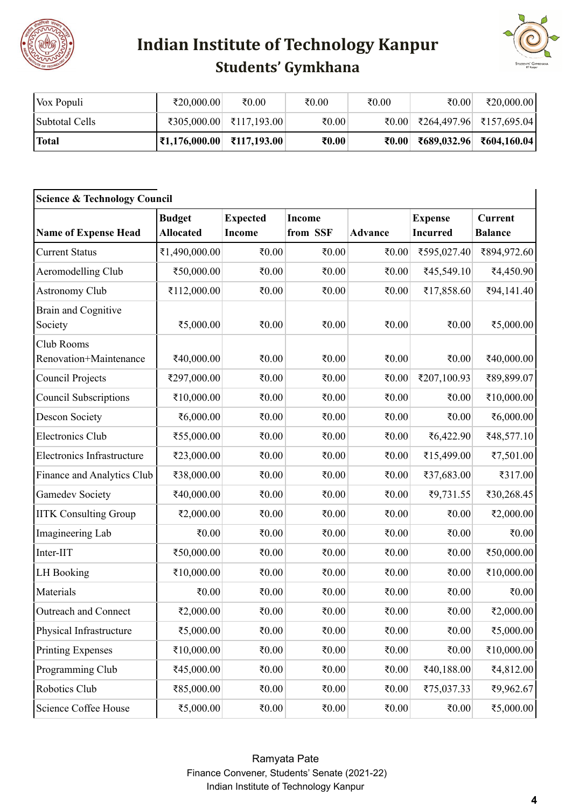



| Vox Populi     | ₹20,000.00                                        | ₹ $0.00$                | ₹ $0.00$ | ₹ $0.00$ | ₹ $0.00$ | ₹20,000.00                                                                                                                                                                                                                                                                                                                                                   |
|----------------|---------------------------------------------------|-------------------------|----------|----------|----------|--------------------------------------------------------------------------------------------------------------------------------------------------------------------------------------------------------------------------------------------------------------------------------------------------------------------------------------------------------------|
| Subtotal Cells |                                                   | ₹305,000.00 ₹117,193.00 | ₹0.00    |          |          | $\vert 1000 \vert 1000 \vert 1000 \vert 1000 \vert 1000 \vert 1000 \vert 1000 \vert 1000 \vert 1000 \vert 1000 \vert 1000 \vert 1000 \vert 1000 \vert 1000 \vert 1000 \vert 1000 \vert 1000 \vert 1000 \vert 1000 \vert 1000 \vert 1000 \vert 1000 \vert 1000 \vert 1000 \vert 1000 \vert 1000 \vert 1000 \vert 1000 \vert 1000 \vert 1000 \vert 1000 \vert$ |
| <b>Total</b>   | $ \overline{\mathbf{z}}1,176,000.00 $ ₹117,193.00 |                         | ₹ $0.00$ | ₹ $0.00$ |          | ₹689,032.96 ₹604,160.04                                                                                                                                                                                                                                                                                                                                      |

| <b>Science &amp; Technology Council</b> |                                   |                                  |                           |                |                                   |                                  |  |  |
|-----------------------------------------|-----------------------------------|----------------------------------|---------------------------|----------------|-----------------------------------|----------------------------------|--|--|
| <b>Name of Expense Head</b>             | <b>Budget</b><br><b>Allocated</b> | <b>Expected</b><br><b>Income</b> | <b>Income</b><br>from SSF | <b>Advance</b> | <b>Expense</b><br><b>Incurred</b> | <b>Current</b><br><b>Balance</b> |  |  |
| <b>Current Status</b>                   | ₹1,490,000.00                     | ₹ $0.00$                         | ₹ $0.00$                  | ₹ $0.00$       | ₹595,027.40                       | ₹894,972.60                      |  |  |
| Aeromodelling Club                      | ₹50,000.00                        | ₹ $0.00$                         | ₹0.00                     | ₹ $0.00$       | ₹45,549.10                        | ₹4,450.90                        |  |  |
| <b>Astronomy Club</b>                   | ₹112,000.00                       | ₹ $0.00$                         | ₹0.00                     | ₹0.00          | ₹17,858.60                        | ₹94,141.40                       |  |  |
| <b>Brain and Cognitive</b><br>Society   | ₹5,000.00                         | ₹ $0.00$                         | ₹0.00                     | ₹0.00          | ₹0.00                             | ₹5,000.00                        |  |  |
| Club Rooms<br>Renovation+Maintenance    | ₹40,000.00                        | ₹ $0.00$                         | ₹ $0.00$                  | ₹ $0.00$       | ₹0.00                             | ₹40,000.00                       |  |  |
| Council Projects                        | ₹297,000.00                       | ₹ $0.00$                         | ₹0.00                     | ₹0.00          | ₹207,100.93                       | ₹89,899.07                       |  |  |
| <b>Council Subscriptions</b>            | ₹10,000.00                        | ₹ $0.00$                         | ₹ $0.00$                  | ₹0.00          | ₹0.00                             | ₹10,000.00                       |  |  |
| <b>Descon Society</b>                   | ₹6,000.00                         | ₹ $0.00$                         | ₹0.00                     | ₹0.00          | ₹0.00                             | ₹6,000.00                        |  |  |
| <b>Electronics Club</b>                 | ₹55,000.00                        | ₹ $0.00$                         | ₹0.00                     | ₹ $0.00$       | ₹6,422.90                         | ₹48,577.10                       |  |  |
| <b>Electronics Infrastructure</b>       | ₹23,000.00                        | ₹ $0.00$                         | ₹0.00                     | ₹0.00          | ₹15,499.00                        | ₹7,501.00                        |  |  |
| Finance and Analytics Club              | ₹38,000.00                        | ₹ $0.00$                         | ₹0.00                     | ₹0.00          | ₹37,683.00                        | ₹317.00                          |  |  |
| <b>Gamedev Society</b>                  | ₹40,000.00                        | ₹ $0.00$                         | ₹0.00                     | ₹0.00          | ₹9,731.55                         | ₹30,268.45                       |  |  |
| <b>IITK Consulting Group</b>            | ₹2,000.00                         | ₹ $0.00$                         | ₹0.00                     | ₹0.00          | ₹0.00                             | ₹2,000.00                        |  |  |
| Imagineering Lab                        | ₹0.00                             | ₹ $0.00$                         | ₹0.00                     | ₹0.00          | ₹0.00                             | ₹0.00                            |  |  |
| Inter-IIT                               | ₹50,000.00                        | ₹ $0.00$                         | ₹0.00                     | ₹0.00          | ₹0.00                             | ₹50,000.00                       |  |  |
| <b>LH</b> Booking                       | ₹10,000.00                        | ₹ $0.00$                         | ₹0.00                     | ₹0.00          | ₹0.00                             | ₹10,000.00                       |  |  |
| Materials                               | ₹0.00                             | ₹ $0.00$                         | ₹0.00                     | ₹0.00          | ₹0.00                             | ₹0.00                            |  |  |
| Outreach and Connect                    | ₹2,000.00                         | ₹0.00                            | ₹0.00                     | ₹0.00          | ₹0.00                             | ₹2,000.00                        |  |  |
| Physical Infrastructure                 | ₹5,000.00                         | ₹ $0.00$                         | ₹0.00                     | ₹ $0.00$       | ₹0.00                             | ₹5,000.00                        |  |  |
| <b>Printing Expenses</b>                | ₹10,000.00                        | ₹ $0.00$                         | ₹ $0.00$                  | ₹0.00          | ₹0.00                             | ₹10,000.00                       |  |  |
| Programming Club                        | ₹45,000.00                        | ₹ $0.00$                         | ₹0.00                     | ₹0.00          | ₹40,188.00                        | ₹4,812.00                        |  |  |
| Robotics Club                           | ₹85,000.00                        | ₹ $0.00$                         | ₹ $0.00$                  | ₹0.00          | ₹75,037.33                        | ₹9,962.67                        |  |  |
| Science Coffee House                    | ₹5,000.00                         | 0.05                             | ₹0.00                     | ₹ $0.00$       | ₹0.00                             | ₹5,000.00                        |  |  |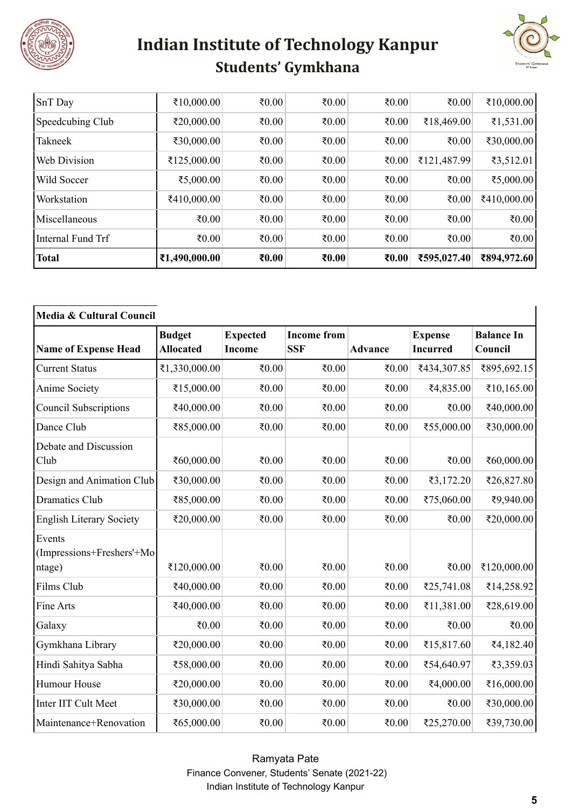



| <b>Total</b>        | ₹1,490,000.00 | ₹ $0.00$ | ₹ $0.00$ | ₹ $0.00$ | ₹595,027.40 | ₹894,972.60 |
|---------------------|---------------|----------|----------|----------|-------------|-------------|
| Internal Fund Trf   | ₹ $0.00$      | ₹ $0.00$ | ₹0.00    | ₹ $0.00$ | ₹ $0.00$    | ₹0.00       |
| Miscellaneous       | ₹ $0.00$      | ₹ $0.00$ | ₹ $0.00$ | ₹ $0.00$ | ₹ $0.00$    | ₹0.00       |
| <b>Workstation</b>  | ₹410,000.00   | ₹ $0.00$ | ₹ $0.00$ | ₹ $0.00$ | ₹ $0.00$    | ₹410,000.00 |
| <b>Wild Soccer</b>  | ₹5,000.00     | ₹ $0.00$ | ₹ $0.00$ | ₹ $0.00$ | ₹ $0.00$    | ₹5,000.00   |
| <b>Web Division</b> | ₹125,000.00   | ₹ $0.00$ | ₹ $0.00$ | ₹ $0.00$ | ₹121,487.99 | ₹3,512.01   |
| Takneek             | ₹30,000.00    | ₹ $0.00$ | ₹ $0.00$ | ₹ $0.00$ | ₹ $0.00$    | ₹30,000.00  |
| Speedcubing Club    | ₹20,000.00    | ₹ $0.00$ | ₹ $0.00$ | ₹ $0.00$ | ₹18,469.00  | ₹1,531.00   |
| SnT Day             | ₹10,000.00    | ₹ $0.00$ | ₹0.00    | ₹ $0.00$ | ₹ $0.00$    | ₹10,000.00  |

| Media & Cultural Council                      |                                   |                                  |                                  |                |                                   |                              |  |
|-----------------------------------------------|-----------------------------------|----------------------------------|----------------------------------|----------------|-----------------------------------|------------------------------|--|
| <b>Name of Expense Head</b>                   | <b>Budget</b><br><b>Allocated</b> | <b>Expected</b><br><b>Income</b> | <b>Income from</b><br><b>SSF</b> | <b>Advance</b> | <b>Expense</b><br><b>Incurred</b> | <b>Balance In</b><br>Council |  |
| <b>Current Status</b>                         | ₹1,330,000.00                     | ₹0.00                            | ₹0.00                            | ₹0.00          | ₹434,307.85                       | ₹895,692.15                  |  |
| Anime Society                                 | ₹15,000.00                        | ₹0.00                            | ₹ $0.00$                         | ₹ $0.00$       | ₹4,835.00                         | ₹10,165.00                   |  |
| <b>Council Subscriptions</b>                  | ₹40,000.00                        | ₹0.00                            | ₹0.00                            | ₹0.00          | ₹0.00                             | ₹40,000.00                   |  |
| Dance Club                                    | ₹85,000.00                        | ₹0.00                            | ₹0.00                            | ₹0.00          | ₹55,000.00                        | ₹30,000.00                   |  |
| Debate and Discussion<br>Club                 | ₹60,000.00                        | ₹ $0.00$                         | ₹ $0.00$                         | ₹ $0.00$       | ₹ $0.00$                          | ₹60,000.00                   |  |
| Design and Animation Club                     | ₹30,000.00                        | ₹0.00                            | ₹0.00                            | ₹0.00          | ₹3,172.20                         | ₹26,827.80                   |  |
| <b>Dramatics Club</b>                         | ₹85,000.00                        | ₹0.00                            | ₹0.00                            | ₹0.00          | ₹75,060.00                        | ₹9,940.00                    |  |
| <b>English Literary Society</b>               | ₹20,000.00                        | ₹0.00                            | ₹ $0.00$                         | ₹ $0.00$       | ₹0.00                             | ₹20,000.00                   |  |
| Events<br>(Impressions+Freshers'+Mo<br>ntage) | ₹120,000.00                       | ₹0.00                            | ₹0.00                            | ₹ $0.00$       | ₹0.00                             | ₹120,000.00                  |  |
| Films Club                                    | ₹40,000.00                        | ₹0.00                            | ₹0.00                            | ₹ $0.00$       | ₹25,741.08                        | ₹14,258.92                   |  |
| Fine Arts                                     | ₹40,000.00                        | ₹0.00                            | ₹0.00                            | ₹0.00          | ₹11,381.00                        | ₹28,619.00                   |  |
| Galaxy                                        | ₹0.00                             | ₹0.00                            | ₹0.00                            | ₹0.00          | ₹0.00                             | ₹0.00                        |  |
| Gymkhana Library                              | ₹20,000.00                        | ₹0.00                            | ₹ $0.00$                         | ₹0.00          | ₹15,817.60                        | ₹4,182.40                    |  |
| Hindi Sahitya Sabha                           | ₹58,000.00                        | ₹ $0.00$                         | ₹ $0.00$                         | ₹ $0.00$       | ₹54,640.97                        | ₹3,359.03                    |  |
| Humour House                                  | ₹20,000.00                        | ₹0.00                            | ₹0.00                            | ₹ $0.00$       | ₹4,000.00                         | ₹16,000.00                   |  |
| Inter IIT Cult Meet                           | ₹30,000.00                        | ₹0.00                            | ₹ $0.00$                         | ₹ $0.00$       | ₹0.00                             | ₹30,000.00                   |  |
| Maintenance+Renovation                        | ₹65,000.00                        | ₹0.00                            | ₹0.00                            | ₹ $0.00$       | ₹25,270.00                        | ₹39,730.00                   |  |

Ramyata Pate Finance Convener, Students' Senate (2021-22) Indian Institute of Technology Kanpur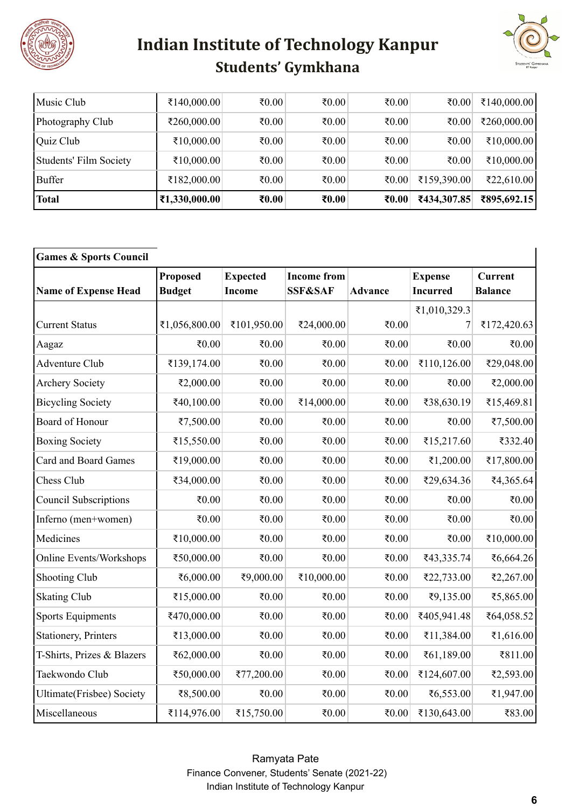



| Music Club             | ₹140,000.00   | ₹ $0.00$          | ₹ $0.00$ | ₹ $0.00$ | ₹ $0.00$    | ₹140,000.00 |
|------------------------|---------------|-------------------|----------|----------|-------------|-------------|
| Photography Club       | ₹260,000.00   | ₹ $0.00$          | ₹ $0.00$ | ₹ $0.00$ | ₹ $0.00$    | ₹260,000.00 |
| Quiz Club              | ₹10,000.00    | ₹ $0.00$          | ₹ $0.00$ | ₹ $0.00$ | ₹ $0.00$    | ₹10,000.00  |
| Students' Film Society | ₹10,000.00    | ₹ $0.00$          | ₹ $0.00$ | ₹ $0.00$ | ₹ $0.00$    | ₹10,000.00  |
| Buffer                 | ₹182,000.00   | ₹ $0.00$          | ₹ $0.00$ | ₹ $0.00$ | ₹159,390.00 | ₹22,610.00  |
| <b>Total</b>           | ₹1,330,000.00 | $\epsilon_{0.00}$ | ₹ $0.00$ | ₹ $0.00$ | ₹434,307.85 | ₹895,692.15 |

| <b>Games &amp; Sports Council</b> |                                  |                                  |                                          |                |                                   |                                  |
|-----------------------------------|----------------------------------|----------------------------------|------------------------------------------|----------------|-----------------------------------|----------------------------------|
| <b>Name of Expense Head</b>       | <b>Proposed</b><br><b>Budget</b> | <b>Expected</b><br><b>Income</b> | <b>Income from</b><br><b>SSF&amp;SAF</b> | <b>Advance</b> | <b>Expense</b><br><b>Incurred</b> | <b>Current</b><br><b>Balance</b> |
|                                   |                                  |                                  |                                          |                | ₹1,010,329.3                      |                                  |
| <b>Current Status</b>             | ₹1,056,800.00                    | ₹101,950.00                      | ₹24,000.00                               | ₹0.00          | 7                                 | ₹172,420.63                      |
| Aagaz                             | ₹0.00                            | ₹0.00                            | ₹0.00                                    | ₹0.00          | ₹0.00                             | ₹0.00                            |
| Adventure Club                    | ₹139,174.00                      | ₹0.00                            | ₹0.00                                    | ₹0.00          | ₹110,126.00                       | ₹29,048.00                       |
| <b>Archery Society</b>            | ₹2,000.00                        | ₹0.00                            | ₹0.00                                    | ₹0.00          | ₹0.00                             | ₹2,000.00                        |
| <b>Bicycling Society</b>          | ₹40,100.00                       | ₹ $0.00$                         | ₹14,000.00                               | ₹0.00          | ₹38,630.19                        | ₹15,469.81                       |
| Board of Honour                   | ₹7,500.00                        | ₹ $0.00$                         | ₹ $0.00$                                 | ₹0.00          | ₹0.00                             | ₹7,500.00                        |
| <b>Boxing Society</b>             | ₹15,550.00                       | ₹0.00                            | ₹0.00                                    | ₹0.00          | ₹15,217.60                        | ₹332.40                          |
| <b>Card and Board Games</b>       | ₹19,000.00                       | ₹ $0.00$                         | ₹0.00                                    | ₹0.00          | ₹1,200.00                         | ₹17,800.00                       |
| Chess Club                        | ₹34,000.00                       | ₹0.00                            | ₹0.00                                    | ₹0.00          | ₹29,634.36                        | ₹4,365.64                        |
| <b>Council Subscriptions</b>      | ₹ $0.00$                         | ₹ $0.00$                         | ₹0.00                                    | ₹ $0.00$       | ₹ $0.00$                          | ₹ $0.00$                         |
| Inferno (men+women)               | ₹0.00                            | ₹0.00                            | ₹ $0.00$                                 | ₹0.00          | ₹0.00                             | ₹ $0.00$                         |
| Medicines                         | ₹10,000.00                       | ₹ $0.00$                         | ₹ $0.00$                                 | ₹0.00          | ₹0.00                             | ₹10,000.00                       |
| <b>Online Events/Workshops</b>    | ₹50,000.00                       | ₹ $0.00$                         | ₹ $0.00$                                 | ₹0.00          | ₹43,335.74                        | ₹6,664.26                        |
| Shooting Club                     | ₹6,000.00                        | ₹9,000.00                        | ₹10,000.00                               | ₹0.00          | ₹22,733.00                        | ₹2,267.00                        |
| <b>Skating Club</b>               | ₹15,000.00                       | ₹0.00                            | ₹ $0.00$                                 | ₹0.00          | ₹9,135.00                         | ₹5,865.00                        |
| <b>Sports Equipments</b>          | ₹470,000.00                      | ₹ $0.00$                         | ₹ $0.00$                                 | ₹0.00          | ₹405,941.48                       | ₹64,058.52                       |
| <b>Stationery, Printers</b>       | ₹13,000.00                       | ₹ $0.00$                         | ₹ $0.00$                                 | ₹0.00          | ₹11,384.00                        | ₹1,616.00                        |
| T-Shirts, Prizes & Blazers        | ₹62,000.00                       | ₹ $0.00$                         | ₹0.00                                    | ₹0.00          | ₹61,189.00                        | ₹811.00                          |
| Taekwondo Club                    | ₹50,000.00                       | ₹77,200.00                       | ₹ $0.00$                                 | ₹0.00          | ₹124,607.00                       | ₹2,593.00                        |
| <b>Ultimate</b> (Frisbee) Society | ₹8,500.00                        | ₹0.00                            | ₹0.00                                    | ₹0.00          | ₹6,553.00                         | ₹1,947.00                        |
| Miscellaneous                     | ₹114,976.00                      | ₹15,750.00                       | ₹ $0.00$                                 | ₹ $0.00$       | ₹130,643.00                       | ₹83.00                           |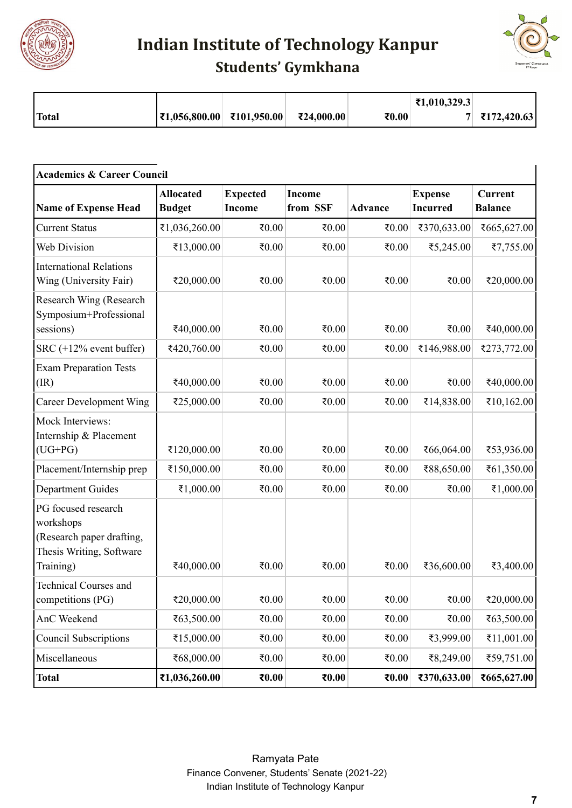

**Indian Institute of Technology Kanpur**



| <b>Students' Gymkhana</b> |  |
|---------------------------|--|
|---------------------------|--|

|       |                               |             |            |       | ₹1,010,329.3 |             |
|-------|-------------------------------|-------------|------------|-------|--------------|-------------|
| Total | $\vert$ ₹1,056,800.00 $\vert$ | ₹101,950.00 | ₹24,000.00 | ₹0.00 |              | ₹172,420.63 |

| <b>Academics &amp; Career Council</b>                                                                  |                                   |                                  |                    |                |                                   |                                  |  |
|--------------------------------------------------------------------------------------------------------|-----------------------------------|----------------------------------|--------------------|----------------|-----------------------------------|----------------------------------|--|
| <b>Name of Expense Head</b>                                                                            | <b>Allocated</b><br><b>Budget</b> | <b>Expected</b><br><b>Income</b> | Income<br>from SSF | <b>Advance</b> | <b>Expense</b><br><b>Incurred</b> | <b>Current</b><br><b>Balance</b> |  |
| <b>Current Status</b>                                                                                  | ₹1,036,260.00                     | ₹0.00                            | ₹0.00              | ₹0.00          | ₹370,633.00                       | ₹665,627.00                      |  |
| Web Division                                                                                           | ₹13,000.00                        | ₹0.00                            | ₹0.00              | ₹0.00          | ₹5,245.00                         | ₹7,755.00                        |  |
| <b>International Relations</b><br>Wing (University Fair)                                               | ₹20,000.00                        | ₹ $0.00$                         | 0.05               | ₹ $0.00$       | ₹ $0.00$                          | ₹20,000.00                       |  |
| Research Wing (Research<br>Symposium+Professional<br>sessions)                                         | ₹40,000.00                        | ₹ $0.00$                         | ₹0.00              | ₹ $0.00$       | ₹ $0.00$                          | ₹40,000.00                       |  |
| SRC $(+12\%$ event buffer)                                                                             | ₹420,760.00                       | ₹0.00                            | ₹0.00              | ₹ $0.00$       | ₹146,988.00                       | ₹273,772.00                      |  |
| <b>Exam Preparation Tests</b><br>(IR)                                                                  | ₹40,000.00                        | ₹ $0.00$                         | ₹ $0.00$           | ₹ $0.00$       | ₹ $0.00$                          | ₹40,000.00                       |  |
| <b>Career Development Wing</b>                                                                         | ₹25,000.00                        | ₹0.00                            | ₹ $0.00$           | ₹ $0.00$       | ₹14,838.00                        | ₹10,162.00                       |  |
| Mock Interviews:<br>Internship & Placement<br>$(UG+PG)$                                                | ₹120,000.00                       | ₹0.00                            | ₹ $0.00$           | ₹ $0.00$       | ₹66,064.00                        | ₹53,936.00                       |  |
| Placement/Internship prep                                                                              | ₹150,000.00                       | ₹0.00                            | ₹ $0.00$           | ₹ $0.00$       | ₹88,650.00                        | ₹61,350.00                       |  |
| <b>Department Guides</b>                                                                               | ₹1,000.00                         | ₹0.00                            | ₹0.00              | ₹ $0.00$       | ₹ $0.00$                          | ₹1,000.00                        |  |
| PG focused research<br>workshops<br>(Research paper drafting,<br>Thesis Writing, Software<br>Training) | ₹40,000.00                        | ₹0.00                            | ₹0.00              | ₹0.00          | ₹36,600.00                        | ₹3,400.00                        |  |
| <b>Technical Courses and</b><br>competitions (PG)                                                      | ₹20,000.00                        | ₹0.00                            | ₹0.00              | ₹ $0.00$       | ₹0.00                             | ₹20,000.00                       |  |
| AnC Weekend                                                                                            | ₹63,500.00                        | 0.05                             | ₹0.00              | ₹ $0.00$       | ₹0.00                             | ₹63,500.00                       |  |
| <b>Council Subscriptions</b>                                                                           | ₹15,000.00                        | ₹0.00                            | ₹0.00              | ₹ $0.00$       | ₹3,999.00                         | ₹11,001.00                       |  |
| Miscellaneous                                                                                          | ₹68,000.00                        | 0.05                             | ₹ $0.00$           | ₹ $0.00$       | ₹8,249.00                         | ₹59,751.00                       |  |
| <b>Total</b>                                                                                           | ₹1,036,260.00                     | $\epsilon_{0.00}$                | ₹0.00              | ₹ $0.00$       | ₹370,633.00                       | ₹665,627.00                      |  |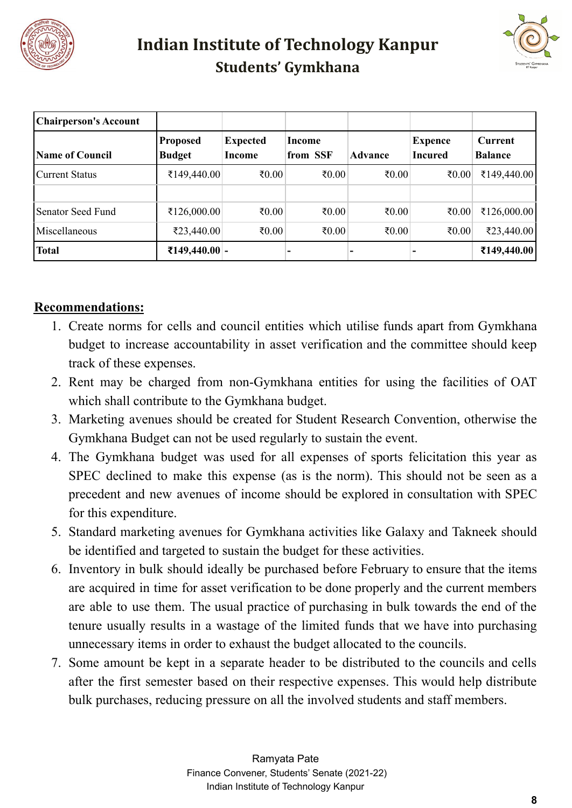



| <b>Chairperson's Account</b> |                                  |                           |                    |                |                           |                                  |
|------------------------------|----------------------------------|---------------------------|--------------------|----------------|---------------------------|----------------------------------|
| <b>Name of Council</b>       | <b>Proposed</b><br><b>Budget</b> | <b>Expected</b><br>Income | Income<br>from SSF | <b>Advance</b> | Expence<br><b>Incured</b> | <b>Current</b><br><b>Balance</b> |
| Current Status               | ₹149,440.00                      | ₹ $0.00$                  | ₹ $0.00$           | ₹ $0.00$       | ₹ $0.00$                  | ₹149,440.00                      |
| Senator Seed Fund            |                                  | ₹ $0.00$                  | ₹ $0.00$           | ₹ $0.00$       | ₹ $0.00$                  | ₹126,000.00                      |
| Miscellaneous                | ₹126,000.00<br>₹23,440.00        | ₹ $0.00$                  | ₹ $0.00$           | ₹ $0.00$       | ₹ $0.00$                  | ₹23,440.00                       |
| <b>Total</b>                 | ₹149,440.00 -                    |                           |                    |                | $\overline{\phantom{0}}$  | ₹149,440.00                      |

#### **Recommendations:**

- 1. Create norms for cells and council entities which utilise funds apart from Gymkhana budget to increase accountability in asset verification and the committee should keep track of these expenses.
- 2. Rent may be charged from non-Gymkhana entities for using the facilities of OAT which shall contribute to the Gymkhana budget.
- 3. Marketing avenues should be created for Student Research Convention, otherwise the Gymkhana Budget can not be used regularly to sustain the event.
- 4. The Gymkhana budget was used for all expenses of sports felicitation this year as SPEC declined to make this expense (as is the norm). This should not be seen as a precedent and new avenues of income should be explored in consultation with SPEC for this expenditure.
- 5. Standard marketing avenues for Gymkhana activities like Galaxy and Takneek should be identified and targeted to sustain the budget for these activities.
- 6. Inventory in bulk should ideally be purchased before February to ensure that the items are acquired in time for asset verification to be done properly and the current members are able to use them. The usual practice of purchasing in bulk towards the end of the tenure usually results in a wastage of the limited funds that we have into purchasing unnecessary items in order to exhaust the budget allocated to the councils.
- 7. Some amount be kept in a separate header to be distributed to the councils and cells after the first semester based on their respective expenses. This would help distribute bulk purchases, reducing pressure on all the involved students and staff members.